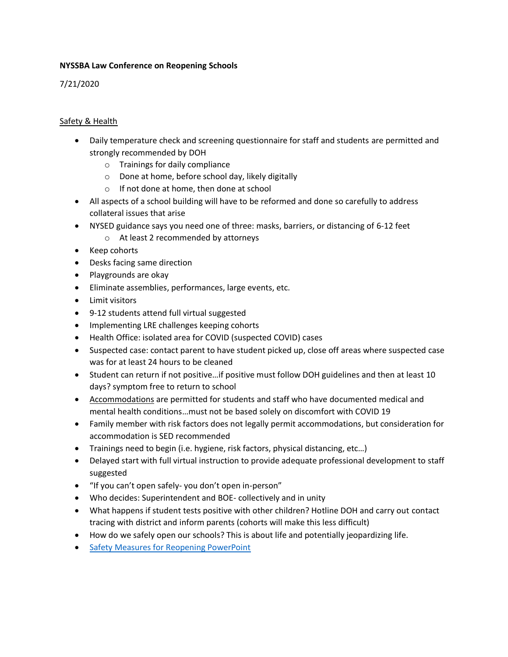#### **NYSSBA Law Conference on Reopening Schools**

# 7/21/2020

## Safety & Health

- Daily temperature check and screening questionnaire for staff and students are permitted and strongly recommended by DOH
	- o Trainings for daily compliance
	- o Done at home, before school day, likely digitally
	- o If not done at home, then done at school
- All aspects of a school building will have to be reformed and done so carefully to address collateral issues that arise
- NYSED guidance says you need one of three: masks, barriers, or distancing of 6-12 feet
	- o At least 2 recommended by attorneys
- Keep cohorts
- Desks facing same direction
- Playgrounds are okay
- Eliminate assemblies, performances, large events, etc.
- **•** Limit visitors
- 9-12 students attend full virtual suggested
- Implementing LRE challenges keeping cohorts
- Health Office: isolated area for COVID (suspected COVID) cases
- Suspected case: contact parent to have student picked up, close off areas where suspected case was for at least 24 hours to be cleaned
- Student can return if not positive…if positive must follow DOH guidelines and then at least 10 days? symptom free to return to school
- Accommodations are permitted for students and staff who have documented medical and mental health conditions…must not be based solely on discomfort with COVID 19
- Family member with risk factors does not legally permit accommodations, but consideration for accommodation is SED recommended
- Trainings need to begin (i.e. hygiene, risk factors, physical distancing, etc…)
- Delayed start with full virtual instruction to provide adequate professional development to staff suggested
- "If you can't open safely- you don't open in-person"
- Who decides: Superintendent and BOE- collectively and in unity
- What happens if student tests positive with other children? Hotline DOH and carry out contact tracing with district and inform parents (cohorts will make this less difficult)
- How do we safely open our schools? This is about life and potentially jeopardizing life.
- **[Safety Measures for Reopening PowerPoint](https://www.nyssba.org/clientuploads/nyssba_pdf/Events/summer-law-07212020/01._Safety_Measures_-_slides.pdf)**